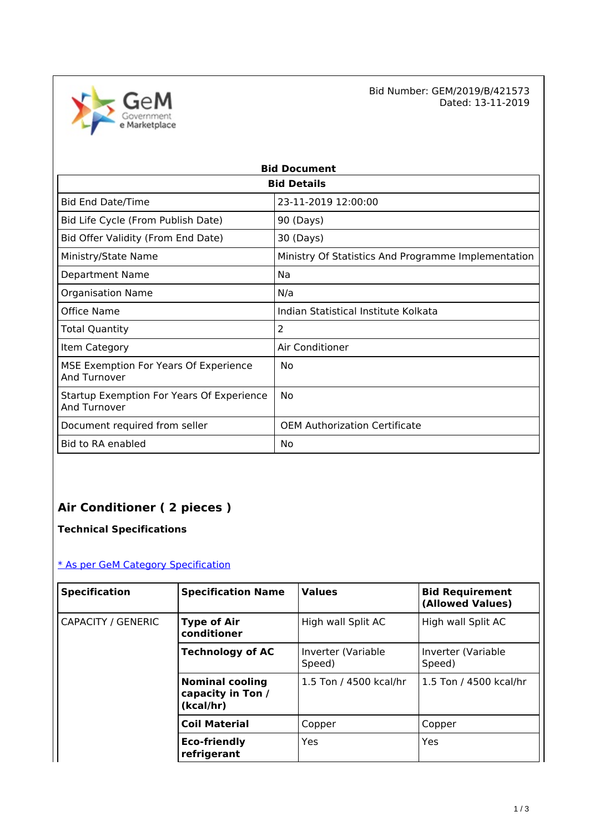

Bid Number: GEM/2019/B/421573<br>Dated: 13-11-2019 Dated: 13-11-2019

| <b>Bid Document</b>                                       |                                                     |  |  |
|-----------------------------------------------------------|-----------------------------------------------------|--|--|
| <b>Bid Details</b>                                        |                                                     |  |  |
| <b>Bid End Date/Time</b>                                  | 23-11-2019 12:00:00                                 |  |  |
| Bid Life Cycle (From Publish Date)                        | 90 (Days)                                           |  |  |
| Bid Offer Validity (From End Date)                        | 30 (Days)                                           |  |  |
| Ministry/State Name                                       | Ministry Of Statistics And Programme Implementation |  |  |
| Department Name                                           | Na                                                  |  |  |
| <b>Organisation Name</b>                                  | N/a                                                 |  |  |
| Office Name                                               | Indian Statistical Institute Kolkata                |  |  |
| Total Quantity                                            | $\overline{2}$                                      |  |  |
| Item Category                                             | Air Conditioner                                     |  |  |
| MSE Exemption For Years Of Experience<br>And Turnover     | No                                                  |  |  |
| Startup Exemption For Years Of Experience<br>And Turnover | No                                                  |  |  |
| Document required from seller                             | <b>OEM Authorization Certificate</b>                |  |  |
| <b>Bid to RA enabled</b>                                  | No                                                  |  |  |

## **Air Conditioner ( 2 pieces )**

**Technical Specifications**

### [\\* As per GeM Category Specification](https://bidplus.gem.gov.in/bidding/bid/showCatalogue/OKsHGPFZ2kVtFkDuIpDgC-UYPf6J6ZRfClkFg_1t4GM)

| <b>Specification</b> | <b>Specification Name</b>                                | <b>Values</b>                | <b>Bid Requirement</b><br>(Allowed Values) |
|----------------------|----------------------------------------------------------|------------------------------|--------------------------------------------|
| CAPACITY / GENERIC   | <b>Type of Air</b><br>conditioner                        | High wall Split AC           | High wall Split AC                         |
|                      | <b>Technology of AC</b>                                  | Inverter (Variable<br>Speed) | Inverter (Variable<br>Speed)               |
|                      | <b>Nominal cooling</b><br>capacity in Ton /<br>(kcal/hr) | 1.5 Ton / 4500 kcal/hr       | 1.5 Ton / 4500 kcal/hr                     |
|                      | <b>Coil Material</b>                                     | Copper                       | Copper                                     |
|                      | <b>Eco-friendly</b><br>refrigerant                       | Yes                          | Yes                                        |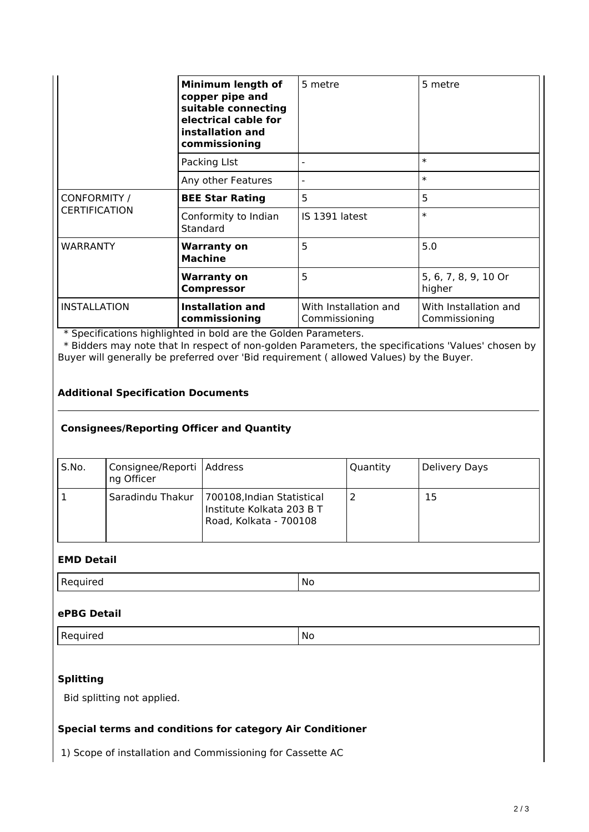|                                      | Minimum length of<br>copper pipe and<br>suitable connecting<br>electrical cable for<br>installation and<br>commissioning | 5 metre                                | 5 metre                                |
|--------------------------------------|--------------------------------------------------------------------------------------------------------------------------|----------------------------------------|----------------------------------------|
|                                      | Packing LIst                                                                                                             | -                                      | $\ast$                                 |
|                                      | Any other Features                                                                                                       |                                        | $\ast$                                 |
| CONFORMITY /<br><b>CERTIFICATION</b> | <b>BEE Star Rating</b>                                                                                                   | 5                                      | 5                                      |
|                                      | Conformity to Indian<br>Standard                                                                                         | IS 1391 latest                         | $\ast$                                 |
| <b>WARRANTY</b>                      | <b>Warranty on</b><br><b>Machine</b>                                                                                     | 5                                      | 5.0                                    |
|                                      | <b>Warranty on</b><br><b>Compressor</b>                                                                                  | 5                                      | 5, 6, 7, 8, 9, 10 Or<br>higher         |
| <b>INSTALLATION</b>                  | <b>Installation and</b><br>commissioning                                                                                 | With Installation and<br>Commissioning | With Installation and<br>Commissioning |

\* Specifications highlighted in bold are the Golden Parameters.

 \* Bidders may note that In respect of non-golden Parameters, the specifications 'Values' chosen by Buyer will generally be preferred over 'Bid requirement ( allowed Values) by the Buyer.

#### **Additional Specification Documents**

#### **Consignees/Reporting Officer and Quantity**

| S.No. | Consignee/Reporti   Address<br>ng Officer |                                                                                   | Quantity | Delivery Days |
|-------|-------------------------------------------|-----------------------------------------------------------------------------------|----------|---------------|
|       | Saradindu Thakur                          | 700108, Indian Statistical<br>Institute Kolkata 203 B T<br>Road, Kolkata - 700108 |          | 15            |

#### **EMD Detail**

| $n -$<br>`quired<br>в.<br>$\sim$ | <b>No</b> |
|----------------------------------|-----------|
|----------------------------------|-----------|

#### **ePBG Detail**

Required No. 2012 No. 2013

#### **Splitting**

Bid splitting not applied.

#### **Special terms and conditions for category Air Conditioner**

1) Scope of installation and Commissioning for Cassette AC